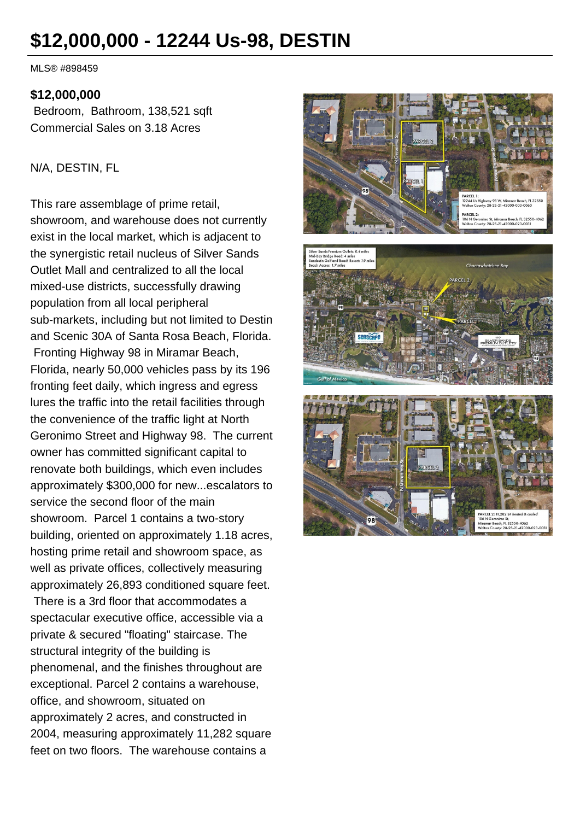# **\$12,000,000 - 12244 Us-98, DESTIN**

MLS® #898459

#### **\$12,000,000**

Bedroom, Bathroom, 138,521 sqft Commercial Sales on 3.18 Acres

#### N/A, DESTIN, FL

This rare assemblage of prime retail, showroom, and warehouse does not currently exist in the local market, which is adjacent to the synergistic retail nucleus of Silver Sands Outlet Mall and centralized to all the local mixed-use districts, successfully drawing population from all local peripheral sub-markets, including but not limited to Destin and Scenic 30A of Santa Rosa Beach, Florida. Fronting Highway 98 in Miramar Beach, Florida, nearly 50,000 vehicles pass by its 196 fronting feet daily, which ingress and egress lures the traffic into the retail facilities through the convenience of the traffic light at North Geronimo Street and Highway 98. The current owner has committed significant capital to renovate both buildings, which even includes approximately \$300,000 for new...escalators to service the second floor of the main showroom. Parcel 1 contains a two-story building, oriented on approximately 1.18 acres, hosting prime retail and showroom space, as well as private offices, collectively measuring approximately 26,893 conditioned square feet.

 There is a 3rd floor that accommodates a spectacular executive office, accessible via a private & secured "floating" staircase. The structural integrity of the building is phenomenal, and the finishes throughout are exceptional. Parcel 2 contains a warehouse, office, and showroom, situated on approximately 2 acres, and constructed in 2004, measuring approximately 11,282 square feet on two floors. The warehouse contains a



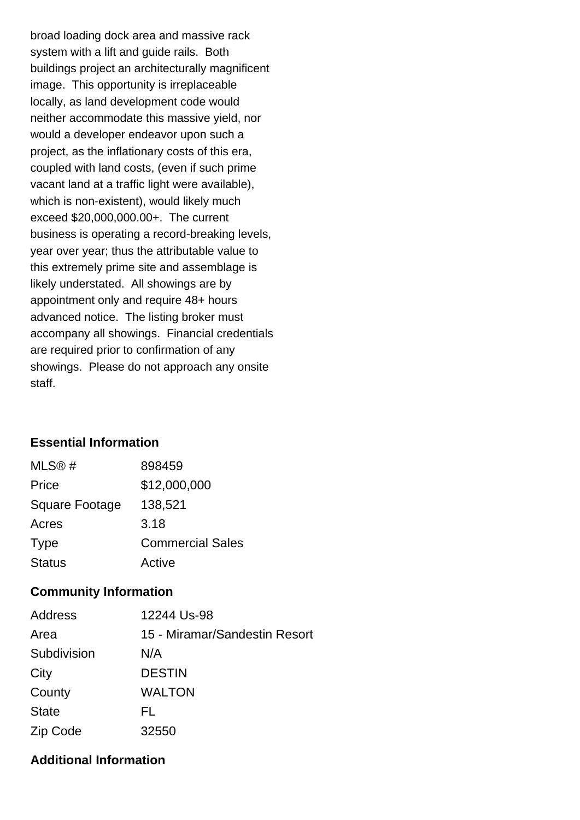broad loading dock area and massive rack system with a lift and guide rails. Both buildings project an architecturally magnificent image. This opportunity is irreplaceable locally, as land development code would neither accommodate this massive yield, nor would a developer endeavor upon such a project, as the inflationary costs of this era, coupled with land costs, (even if such prime vacant land at a traffic light were available), which is non-existent), would likely much exceed \$20,000,000.00+. The current business is operating a record-breaking levels, year over year; thus the attributable value to this extremely prime site and assemblage is likely understated. All showings are by appointment only and require 48+ hours advanced notice. The listing broker must accompany all showings. Financial credentials are required prior to confirmation of any showings. Please do not approach any onsite staff.

## **Essential Information**

| MLS@#                 | 898459                  |
|-----------------------|-------------------------|
| Price                 | \$12,000,000            |
| <b>Square Footage</b> | 138,521                 |
| Acres                 | 3.18                    |
| <b>Type</b>           | <b>Commercial Sales</b> |
| <b>Status</b>         | Active                  |

## **Community Information**

| Address      | 12244 Us-98                   |
|--------------|-------------------------------|
| Area         | 15 - Miramar/Sandestin Resort |
| Subdivision  | N/A                           |
| City         | <b>DESTIN</b>                 |
| County       | <b>WALTON</b>                 |
| <b>State</b> | FL.                           |
| Zip Code     | 32550                         |

## **Additional Information**